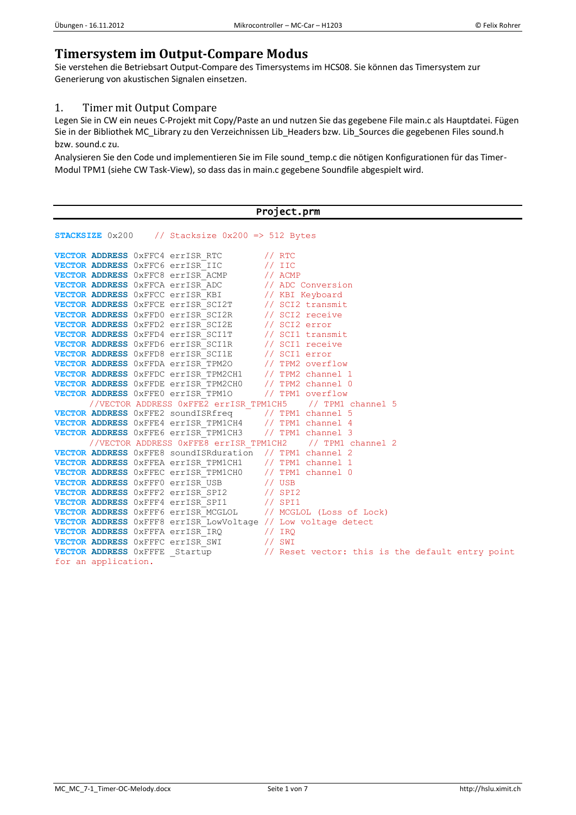## **Timersystem im Output-Compare Modus**

Sie verstehen die Betriebsart Output-Compare des Timersystems im HCS08. Sie können das Timersystem zur Generierung von akustischen Signalen einsetzen.

## 1. Timer mit Output Compare

Legen Sie in CW ein neues C-Projekt mit Copy/Paste an und nutzen Sie das gegebene File main.c als Hauptdatei. Fügen Sie in der Bibliothek MC\_Library zu den Verzeichnissen Lib\_Headers bzw. Lib\_Sources die gegebenen Files sound.h bzw. sound.c zu.

Analysieren Sie den Code und implementieren Sie im File sound\_temp.c die nötigen Konfigurationen für das Timer-Modul TPM1 (siehe CW Task-View), so dass das in main.c gegebene Soundfile abgespielt wird.

| Project.prm                                                                                                                                                                                                                           |                                                                                                                                                                |
|---------------------------------------------------------------------------------------------------------------------------------------------------------------------------------------------------------------------------------------|----------------------------------------------------------------------------------------------------------------------------------------------------------------|
|                                                                                                                                                                                                                                       |                                                                                                                                                                |
| <b>STACKSIZE</b> $0x200$ // Stacksize $0x200 \Rightarrow 512$ Bytes                                                                                                                                                                   |                                                                                                                                                                |
| VECTOR ADDRESS 0xFFC4 errISR_RTC // RTC                                                                                                                                                                                               |                                                                                                                                                                |
| <b>VECTOR ADDRESS</b> 0xFFC6 errISR_IIC // IIC                                                                                                                                                                                        |                                                                                                                                                                |
| VECTOR ADDRESS 0xFFC8 errISR_ACMP // ACMP                                                                                                                                                                                             |                                                                                                                                                                |
|                                                                                                                                                                                                                                       |                                                                                                                                                                |
| VECTOR ADDRESS 0xFFCA errISR_ADC // ADC Conversion<br>VECTOR ADDRESS 0xFFCC errISR_KBI // KBI Keyboard<br>VECTOR ADDRESS 0xFFCE errISR_SCI2T // SCI2 transmit<br>VECTOR ADDRESS 0xFFCE errISR_SCI2R // SCI2 receive<br>VECTOR ADDRESS |                                                                                                                                                                |
|                                                                                                                                                                                                                                       |                                                                                                                                                                |
|                                                                                                                                                                                                                                       |                                                                                                                                                                |
| VECTOR ADDRESS 0xFFD2 errISR_SCI2E // SCI2 error                                                                                                                                                                                      |                                                                                                                                                                |
| VECTOR ADDRESS 0xFFD4 errISR_SCI1T // SCI1 transmit                                                                                                                                                                                   |                                                                                                                                                                |
| <b>VECTOR ADDRESS</b> 0xFFD6 errISR_SCI1R // SCI1 receive                                                                                                                                                                             |                                                                                                                                                                |
| <b>VECTOR ADDRESS</b> 0xFFD8 errISR SCI1E // SCI1 error                                                                                                                                                                               |                                                                                                                                                                |
| <b>VECTOR ADDRESS</b> OXFFDA errISR TPM20 // TPM2 overflow                                                                                                                                                                            |                                                                                                                                                                |
| VECTOR ADDRESS 0xFFDC errISR TPM2CH1 // TPM2 channel 1                                                                                                                                                                                |                                                                                                                                                                |
| VECTOR ADDRESS 0xFFDE errISR TPM2CH0 // TPM2 channel 0                                                                                                                                                                                |                                                                                                                                                                |
| <b>VECTOR ADDRESS</b> 0xFFE0 errISR TPM10 // TPM1 overflow                                                                                                                                                                            |                                                                                                                                                                |
| //VECTOR ADDRESS 0xFFE2 errISR TPM1CH5 // TPM1 channel 5                                                                                                                                                                              |                                                                                                                                                                |
| VECTOR ADDRESS 0xFFE2 soundISRfreq 7 // TPM1 channel 5                                                                                                                                                                                |                                                                                                                                                                |
| VECTOR ADDRESS 0xFFE4 errISR_TPM1CH4 // TPM1 channel 4                                                                                                                                                                                |                                                                                                                                                                |
| VECTOR ADDRESS 0xFFE6 errISR TPM1CH3 // TPM1 channel 3                                                                                                                                                                                |                                                                                                                                                                |
| //VECTOR ADDRESS 0xFFE8 errISR TPM1CH2 // TPM1 channel 2                                                                                                                                                                              |                                                                                                                                                                |
| VECTOR ADDRESS 0xFFE8 soundISRduration // TPM1 channel 2                                                                                                                                                                              |                                                                                                                                                                |
| VECTOR ADDRESS OXFFEA errISR_TPM1CH1 // TPM1 channel 1                                                                                                                                                                                |                                                                                                                                                                |
|                                                                                                                                                                                                                                       |                                                                                                                                                                |
|                                                                                                                                                                                                                                       |                                                                                                                                                                |
| VECTOR ADDRESS 0xFFEC errISR_TPM1CH0 // TPM1 channel 0<br>VECTOR ADDRESS 0xFFF0 errISR_USB // USB<br>VECTOR ADDRESS 0xFFF2 errISR_SPI2 // SPI2                                                                                        |                                                                                                                                                                |
| VECTOR ADDRESS 0xFFF4 errISR SPI1 // SPI1                                                                                                                                                                                             |                                                                                                                                                                |
| VECTOR ADDRESS 0xFFF6 errISR MCGLOL // MCGLOL (Loss of Lock)                                                                                                                                                                          |                                                                                                                                                                |
| VECTOR ADDRESS 0xFFF8 errISR LowVoltage // Low voltage detect                                                                                                                                                                         |                                                                                                                                                                |
|                                                                                                                                                                                                                                       |                                                                                                                                                                |
|                                                                                                                                                                                                                                       |                                                                                                                                                                |
|                                                                                                                                                                                                                                       | VECTOR ADDRESS 0xFFFA errISR_IRQ<br>VECTOR ADDRESS 0xFFFC errISR_SWI // SWI<br>VECTOR ADDRESS 0xFFFE _Startup // Reset vector: this is the default entry point |
| for an application.                                                                                                                                                                                                                   |                                                                                                                                                                |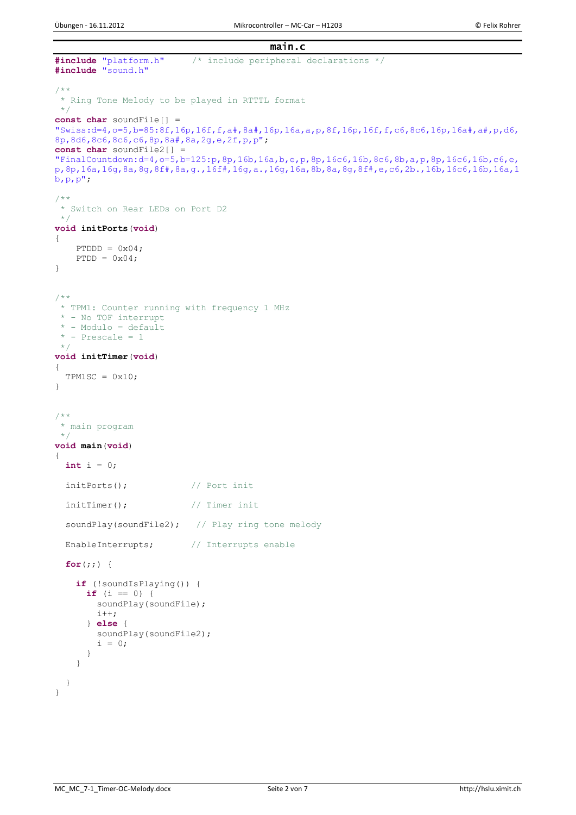```
main.c 
#include "platform.h" /* include peripheral declarations */
#include "sound.h"
/**
* Ring Tone Melody to be played in RTTTL format
*/
const char soundFile[] = 
"Swiss:d=4,o=5,b=85:8f,16p,16f,f,a#,8a#,16p,16a,a,p,8f,16p,16f,f,c6,8c6,16p,16a#,a#,p,d6,
8p,8d6,8c6,8c6,c6,8p,8a#,8a,2g,e,2f,p,p";
const char soundFile2[] = 
"FinalCountdown:d=4,o=5,b=125:p,8p,16b,16a,b,e,p,8p,16c6,16b,8c6,8b,a,p,8p,16c6,16b,c6,e,
p,8p,16a,16g,8a,8g,8f#,8a,g.,16f#,16g,a.,16g,16a,8b,8a,8g,8f#,e,c6,2b.,16b,16c6,16b,16a,1
b, p, p";
/**
* Switch on Rear LEDs on Port D2
*/
void initPorts(void)
{
   PTDDD = 0x04;PTDD = 0x04;}
/**
 * TPM1: Counter running with frequency 1 MHz
* - No TOF interrupt
 * - Modulo = default
* - Prescale = 1
 */
void initTimer(void)
{
 TPM1SC = 0x10;}
/**
* main program
*/ 
void main(void) 
{
   int i = 0;
   initPorts(); // Port init
  initTimer(); \frac{1}{2} // Timer init
  soundPlay(soundFile2); // Play ring tone melody
  EnableInterrupts; // Interrupts enable
   for(;;) {
     if (!soundIsPlaying()) {
      if (i == 0) {
         soundPlay(soundFile);
         i++;
       } else {
       soundPlay(soundFile2);
        i = 0; }
     }
   }
}
```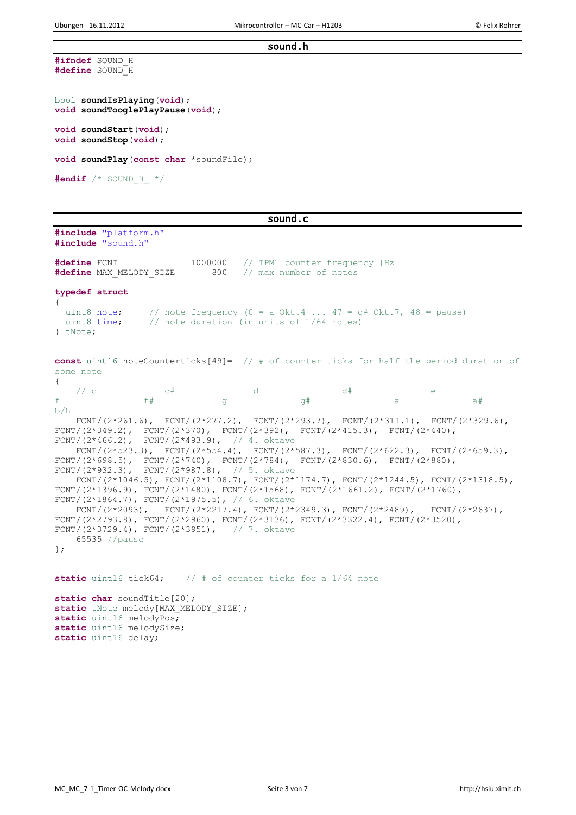## sound.h

```
#ifndef SOUND_H
#define SOUND_H
```

```
bool soundIsPlaying(void);
void soundTooglePlayPause(void);
void soundStart(void);
void soundStop(void);
void soundPlay(const char *soundFile);
```
**#endif** /\* SOUND\_H\_ \*/

## sound.c

**#include** "platform.h" **#include** "sound.h"

**#define** FCNT 1000000 // TPM1 counter frequency [Hz]<br>**#define** MAX MELODY SIZE 800 // max number of notes #define MAX MELODY SIZE **typedef struct** { uint8 note;  $//$  note frequency  $(0 = a \text{ Okt.4} ... 47 = g# \text{ Okt.7}, 48 = \text{pause})$ uint8 time; // note duration (in units of 1/64 notes) } tNote;

**const** uint16 noteCounterticks[49]= // # of counter ticks for half the period duration of some note {

 $\sqrt{2}$  c c  $\pm$  c  $\pm$  d  $\pm$  d  $\pm$  e f f# g g# a a# a# b/h FCNT/(2\*261.6),  $FCNT/(2*277.2)$ ,  $FCNT/(2*293.7)$ ,  $FCNT/(2*311.1)$ ,  $FCNT/(2*329.6)$ , FCNT/(2\*349.2), FCNT/(2\*370), FCNT/(2\*392), FCNT/(2\*415.3), FCNT/(2\*440),  $FCNT / (2*466.2)$ ,  $FCNT / (2*493.9)$ ,  $// 4. oktave$ FCNT/(2\*523.3), FCNT/(2\*554.4), FCNT/(2\*587.3), FCNT/(2\*622.3), FCNT/(2\*659.3), FCNT/(2\*698.5), FCNT/(2\*740), FCNT/(2\*784), FCNT/(2\*830.6), FCNT/(2\*880), FCNT/(2\*932.3), FCNT/(2\*987.8), // 5. oktave FCNT/(2\*1046.5), FCNT/(2\*1108.7), FCNT/(2\*1174.7), FCNT/(2\*1244.5), FCNT/(2\*1318.5), FCNT/(2\*1396.9), FCNT/(2\*1480), FCNT/(2\*1568), FCNT/(2\*1661.2), FCNT/(2\*1760), FCNT/(2\*1864.7), FCNT/(2\*1975.5), // 6. oktave  $FCNT/(2*2093)$ ,  $FCNT/(2*2217.4)$ ,  $FCNT/(2*2349.3)$ ,  $FCNT/(2*2489)$ ,  $FCNT/(2*2637)$ , FCNT/(2\*2793.8), FCNT/(2\*2960), FCNT/(2\*3136), FCNT/(2\*3322.4), FCNT/(2\*3520), FCNT/(2\*3729.4), FCNT/(2\*3951),  $// 7. oktave$  65535 //pause }; **static** uint16 tick64; // # of counter ticks for a 1/64 note

static char soundTitle[20]; static tNote melody [MAX\_MELODY\_SIZE]; **static** uint16 melodyPos; **static** uint16 melodySize; **static** uint16 delay;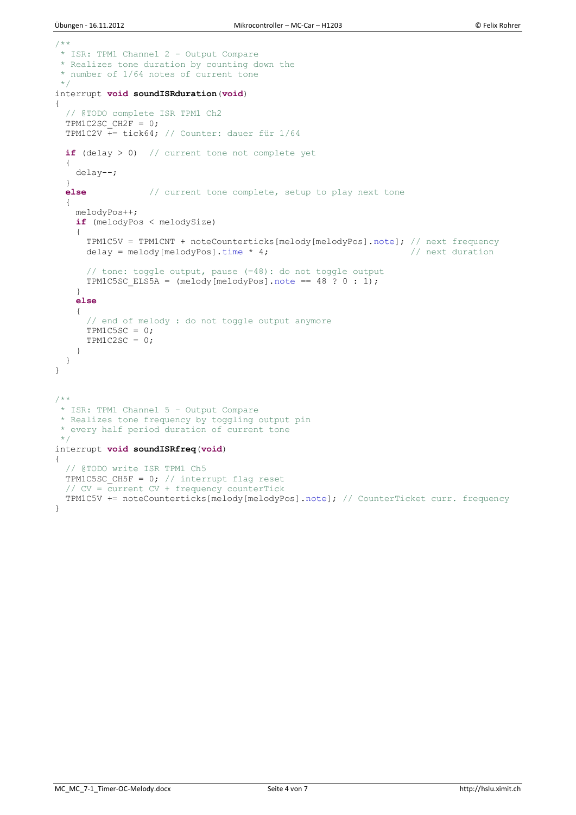```
/**
* ISR: TPM1 Channel 2 - Output Compare
 * Realizes tone duration by counting down the
 * number of 1/64 notes of current tone
 \star /
interrupt void soundISRduration(void)
{
   // @TODO complete ISR TPM1 Ch2
  TPM1C2SC CH2F = 0;
  TPM1C2V \frac{1}{1} += tick64; // Counter: dauer für 1/64
   if (delay > 0) // current tone not complete yet
   {
     delay--;
   }
   else // current tone complete, setup to play next tone
   { 
     melodyPos++;
     if (melodyPos < melodySize)
     {
       TPM1C5V = TPM1CNT + noteCounterticks[melody[melodyPos].note]; // next frequency
      delay = melody[melodyPos].time * 4; \left| \right| // next duration
       // tone: toggle output, pause (=48): do not toggle output
      TPM1C5SC_ELS5A = (melody[melodyPos].note = 48 \cdot ? \cdot 0 : 1); }
     else
     {
       // end of melody : do not toggle output anymore
       TPM1C5SC = 0;
      TPM1C2SC = 0 }
   }
}
/**
 * ISR: TPM1 Channel 5 - Output Compare
* Realizes tone frequency by toggling output pin 
 * every half period duration of current tone
 \star /
interrupt void soundISRfreq(void)
{
   // @TODO write ISR TPM1 Ch5
 TPM1C5SC CH5F = 0; // interrupt flag reset
   // CV = current CV + frequency counterTick
  TPM1C5V += noteCounterticks[melody[melodyPos].note]; // CounterTicket curr. frequency
}
```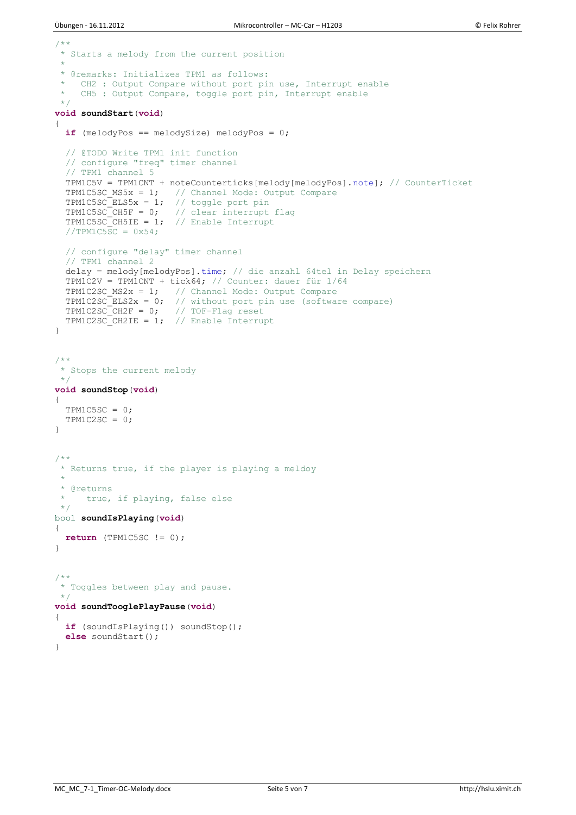```
/**
* Starts a melody from the current position
 *
 * @remarks: Initializes TPM1 as follows:
   CH2 : Output Compare without port pin use, Interrupt enable
    CH5 : Output Compare, toggle port pin, Interrupt enable
 */
void soundStart(void)
{
  if (melodyPos == melodySize) melodyPos = 0;
   // @TODO Write TPM1 init function
   // configure "freq" timer channel
   // TPM1 channel 5
  TPM1C5V = TPM1CNT + noteCounterticks[melody[melodyPos].note]; // CounterTicket
 TPM1C5SC MS5x = 1; // Channel Mode: Output Compare
TPM1C5SC ELS5x = 1; // toggle port pin
TPM1C5SCCH5F = 0; // clear interrupt flag
TPM1C5SC CH5IE = 1; // Enable Interrupt
  //TPM1C5SC = 0x54:
  // configure "delay" timer channel
   // TPM1 channel 2
   delay = melody[melodyPos].time; // die anzahl 64tel in Delay speichern
 TPMIC2V = TPMICNT + tick64; // Counter: dauer für 1/64TPM1C2SC MS2x = 1; // Channel Mode: Output Compare
TPM1C2SC ELS2x = 0; // without port pin use (software compare)
TPM1C2SC CH2F = 0; // TOF-Flag reset
TPMIC2SCCH2IE = 1; // Enable Interrupt
}
/**
* Stops the current melody
 */
void soundStop(void)
{
 TPM1C5SC = 0;
 TPM1C2SC = 0;}
/**
* Returns true, if the player is playing a meldoy
 * 
* @returns
    true, if playing, false else
\star /
bool soundIsPlaying(void)
{
 return (TPM1C5SC != 0);
}
/**
* Toggles between play and pause. 
*void soundTooglePlayPause(void)
{
  if (soundIsPlaying()) soundStop();
 else soundStart();
}
```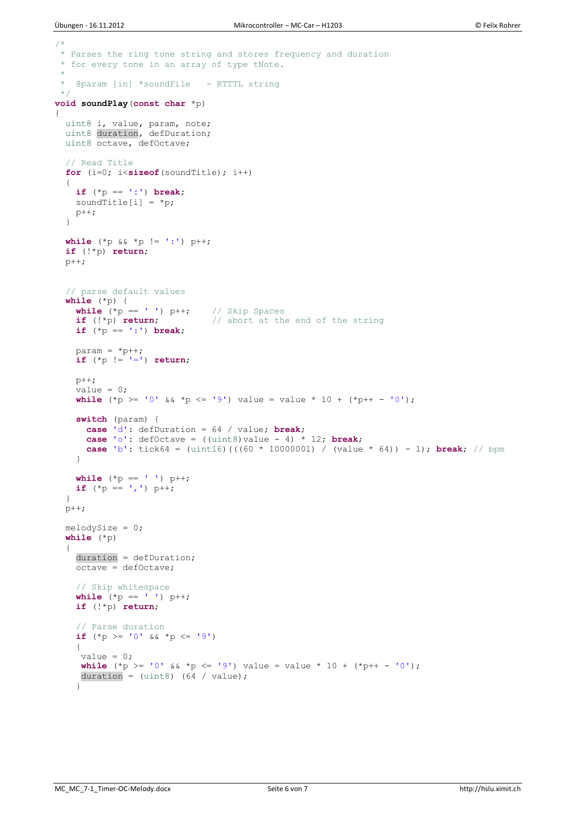```
/ \star* Parses the ring tone string and stores frequency and duration
* for every tone in an array of type tNote.
 * 
 * @param [in] *soundFile - RTTTL string 
\star /
void soundPlay(const char *p)
{
  uint8 i, value, param, note;
  uint8 duration, defDuration;
  uint8 octave, defOctave;
   // Read Title
   for (i=0; i<sizeof(soundTitle); i++)
\overline{\mathcal{A}} if (*p == ':') break;
   soundTitle[i] = *p; p++;
   } 
 while (*p < x *p != '::') p++; if (!*p) return;
 p++; // parse default values
   while (*p) { 
    while (\ast p == ' ' ) p++; // Skip Spaces
     if (!*p) return; // abort at the end of the string
     if (*p == ':') break;
    param = *p++; if (*p != '=') return;
     p++;
    value = 0;
    while (*p \ge -10' & * p \le -19' value = value * 10 + (*p++ -10');
     switch (param) {
      case 'd': defDuration = 64 / value; break;
      case 'o': defOctave = ((\text{uint8}) \text{ value} - 4) * 12; break;
       case 'b': tick64 = (uint16)(((60 * 1000000l) / (value * 64)) - 1); break; // bpm
     }
    while (*p == ' ' ) p++;if (*p == ', ') p++; }
 p++;melodySize = 0;
   while (*p)
   {
     duration = defDuration;
    octave = defOctave; // Skip whitespace
    while (\star p == \tbinom{1}{1} p++; if (!*p) return;
     // Parse duration
    if (*p \geq 10' & *p \leq 19') {
    value = 0;
    while (*p >= '0' & & *p <= '9') value = value * 10 + (*p++ - '0');
     duration = (uint8) (64 / value);
     }
```